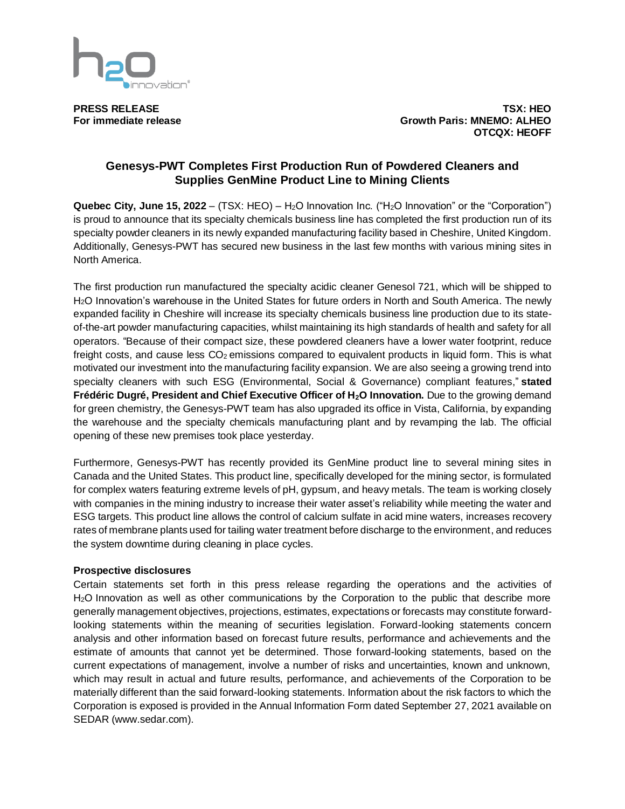

**PRESS RELEASE TSX: HEO For immediate release Growth Paris: MNEMO: ALHEO OTCQX: HEOFF**

## **Genesys-PWT Completes First Production Run of Powdered Cleaners and Supplies GenMine Product Line to Mining Clients**

**Quebec City, June 15, 2022** – (TSX: HEO) – H2O Innovation Inc. ("H2O Innovation" or the "Corporation") is proud to announce that its specialty chemicals business line has completed the first production run of its specialty powder cleaners in its newly expanded manufacturing facility based in Cheshire, United Kingdom. Additionally, Genesys-PWT has secured new business in the last few months with various mining sites in North America.

The first production run manufactured the specialty acidic cleaner Genesol 721, which will be shipped to H2O Innovation's warehouse in the United States for future orders in North and South America. The newly expanded facility in Cheshire will increase its specialty chemicals business line production due to its stateof-the-art powder manufacturing capacities, whilst maintaining its high standards of health and safety for all operators. "Because of their compact size, these powdered cleaners have a lower water footprint, reduce freight costs, and cause less  $CO<sub>2</sub>$  emissions compared to equivalent products in liquid form. This is what motivated our investment into the manufacturing facility expansion. We are also seeing a growing trend into specialty cleaners with such ESG (Environmental, Social & Governance) compliant features," **stated Frédéric Dugré, President and Chief Executive Officer of H2O Innovation.** Due to the growing demand for green chemistry, the Genesys-PWT team has also upgraded its office in Vista, California, by expanding the warehouse and the specialty chemicals manufacturing plant and by revamping the lab. The official opening of these new premises took place yesterday.

Furthermore, Genesys-PWT has recently provided its GenMine product line to several mining sites in Canada and the United States. This product line, specifically developed for the mining sector, is formulated for complex waters featuring extreme levels of pH, gypsum, and heavy metals. The team is working closely with companies in the mining industry to increase their water asset's reliability while meeting the water and ESG targets. This product line allows the control of calcium sulfate in acid mine waters, increases recovery rates of membrane plants used for tailing water treatment before discharge to the environment, and reduces the system downtime during cleaning in place cycles.

## **Prospective disclosures**

Certain statements set forth in this press release regarding the operations and the activities of H2O Innovation as well as other communications by the Corporation to the public that describe more generally management objectives, projections, estimates, expectations or forecasts may constitute forwardlooking statements within the meaning of securities legislation. Forward-looking statements concern analysis and other information based on forecast future results, performance and achievements and the estimate of amounts that cannot yet be determined. Those forward-looking statements, based on the current expectations of management, involve a number of risks and uncertainties, known and unknown, which may result in actual and future results, performance, and achievements of the Corporation to be materially different than the said forward-looking statements. Information about the risk factors to which the Corporation is exposed is provided in the Annual Information Form dated September 27, 2021 available on SEDAR (www.sedar.com).